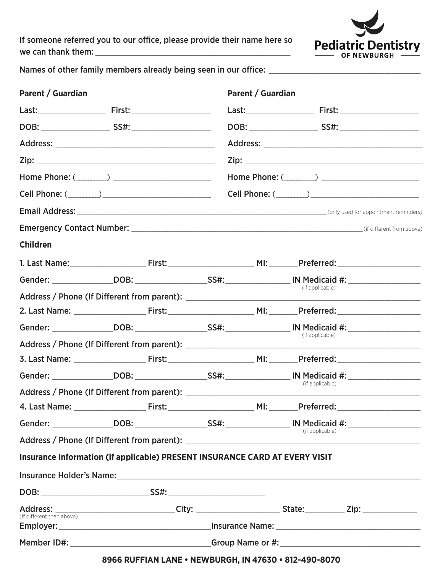If someone referred you to our office, please provide their name here so 



Names of other family members already being seen in our office: \_\_\_\_\_\_\_\_\_\_\_\_\_\_\_\_

| Parent / Guardian         |                                                                             |  | Parent / Guardian |                 |  |
|---------------------------|-----------------------------------------------------------------------------|--|-------------------|-----------------|--|
|                           |                                                                             |  |                   |                 |  |
|                           |                                                                             |  |                   |                 |  |
|                           |                                                                             |  |                   |                 |  |
|                           |                                                                             |  |                   |                 |  |
|                           |                                                                             |  |                   |                 |  |
|                           |                                                                             |  |                   |                 |  |
|                           |                                                                             |  |                   |                 |  |
|                           |                                                                             |  |                   |                 |  |
| <b>Children</b>           |                                                                             |  |                   |                 |  |
|                           |                                                                             |  |                   |                 |  |
|                           |                                                                             |  |                   | (if applicable) |  |
|                           |                                                                             |  |                   |                 |  |
|                           |                                                                             |  |                   |                 |  |
|                           |                                                                             |  |                   | (if applicable) |  |
|                           |                                                                             |  |                   |                 |  |
|                           |                                                                             |  |                   |                 |  |
|                           |                                                                             |  |                   |                 |  |
|                           |                                                                             |  |                   | (if applicable) |  |
|                           |                                                                             |  |                   |                 |  |
|                           |                                                                             |  |                   | (if applicable) |  |
|                           |                                                                             |  |                   |                 |  |
|                           | Insurance Information (if applicable) PRESENT INSURANCE CARD AT EVERY VISIT |  |                   |                 |  |
|                           |                                                                             |  |                   |                 |  |
|                           |                                                                             |  |                   |                 |  |
| (If different than above) |                                                                             |  |                   |                 |  |
|                           |                                                                             |  |                   |                 |  |
|                           |                                                                             |  |                   |                 |  |
|                           | 8966 RUFFIAN LANE • NEWBURGH, IN 47630 • 812-490-8070                       |  |                   |                 |  |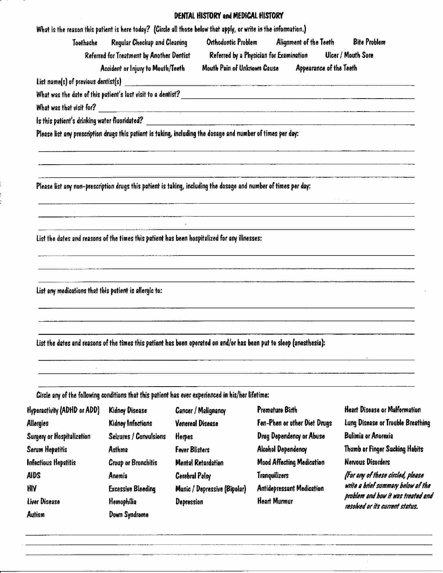## DENTAL HISTORY and MEDICAL HISTORY

| Toothache                                              | Regular Checkup and Cleaning                                                                                            |                                                                                                                      | Orthodontic Problem Alignment of the Teeth Bite Problem                                                                                                                                                                                                             |                                                                          |
|--------------------------------------------------------|-------------------------------------------------------------------------------------------------------------------------|----------------------------------------------------------------------------------------------------------------------|---------------------------------------------------------------------------------------------------------------------------------------------------------------------------------------------------------------------------------------------------------------------|--------------------------------------------------------------------------|
|                                                        | Referred for Treatment by Another Dentist<br>Accident or Injury to Mouth/Teeth                                          |                                                                                                                      | Referred by a Physician for Examination Ulcer / Mouth Sore<br>Mouth Pain of Unknown Cause Appearance of the Teeth                                                                                                                                                   |                                                                          |
|                                                        |                                                                                                                         |                                                                                                                      | List name(s) of previous dentist(s)                                                                                                                                                                                                                                 |                                                                          |
|                                                        |                                                                                                                         |                                                                                                                      | What was the date of this patient's last visit to a dentist?                                                                                                                                                                                                        |                                                                          |
|                                                        |                                                                                                                         |                                                                                                                      |                                                                                                                                                                                                                                                                     |                                                                          |
|                                                        |                                                                                                                         |                                                                                                                      |                                                                                                                                                                                                                                                                     |                                                                          |
|                                                        |                                                                                                                         | Please list any prescription drugs this patient is taking, including the dosage and number of times per day:         | programmed the control of the control of the control of the control of the control of the control of the control of the control of the control of the control of the control of the control of the control of the control of t                                      |                                                                          |
|                                                        |                                                                                                                         |                                                                                                                      |                                                                                                                                                                                                                                                                     |                                                                          |
|                                                        |                                                                                                                         | Please list any non-prescription drugs this patient is taking, including the dosage and number of times per day:     |                                                                                                                                                                                                                                                                     |                                                                          |
|                                                        |                                                                                                                         |                                                                                                                      |                                                                                                                                                                                                                                                                     |                                                                          |
|                                                        |                                                                                                                         |                                                                                                                      | <u> 1989 - John Barnett, mars and de formation and de formation and de formation and definition and definition and</u>                                                                                                                                              |                                                                          |
|                                                        |                                                                                                                         | List the dates and reasons of the times this patient has been hospitalized for any illnesses:                        | $\sim$ 0.000 $\sim$ 0.000 $\sim$ 0.000 $\sim$ 0.0000 $\sim$ 0.0000 $\sim$ 0.0000 $\sim$ 0.0000 $\sim$ 0.0000 $\sim$ 0.0000 $\sim$ 0.0000 $\sim$ 0.0000 $\sim$ 0.0000 $\sim$ 0.0000 $\sim$ 0.0000 $\sim$ 0.0000 $\sim$ 0.0000 $\sim$ 0.0000 $\sim$ 0.0000 $\sim$ 0.0 |                                                                          |
|                                                        | <u> 1980 - Jan Barat, martin amerikan di sebagai perang perang perang perang perang perang perang perang perang per</u> |                                                                                                                      | $\mathcal{A}$ . The contract of the contract of the contract of the contract of the contract of the contract of the contract of the contract of the contract of the contract of the contract of the contract of the contract of th                                  |                                                                          |
|                                                        |                                                                                                                         |                                                                                                                      | <u>residence in the contract of the contract of the contract of the contract of the contract of the contract of the contract of the contract of the contract of the contract of the contract of the contract of the contract of </u>                                |                                                                          |
|                                                        |                                                                                                                         |                                                                                                                      | <u> 1990 - Joseph VII, margar y margar ang mga katalog ang pangangang panggunang pang</u>                                                                                                                                                                           |                                                                          |
| List any medications that this patient is allergic to: |                                                                                                                         |                                                                                                                      |                                                                                                                                                                                                                                                                     |                                                                          |
|                                                        |                                                                                                                         |                                                                                                                      | $\mathcal{L}(\mathcal{L})$ and the contract of the contract of $\mathcal{L}(\mathcal{L})$ . The contract of the contract of the contract of the contract of the contract of the contract of the contract of the contract of the contract of the contr               |                                                                          |
|                                                        |                                                                                                                         |                                                                                                                      |                                                                                                                                                                                                                                                                     |                                                                          |
|                                                        |                                                                                                                         | List the dates and reasons of the times this patient has been operated on and/or has been put to sleep (anesthesia): |                                                                                                                                                                                                                                                                     |                                                                          |
|                                                        |                                                                                                                         |                                                                                                                      |                                                                                                                                                                                                                                                                     |                                                                          |
|                                                        |                                                                                                                         |                                                                                                                      |                                                                                                                                                                                                                                                                     |                                                                          |
|                                                        |                                                                                                                         | Circle any of the following conditions that this patient has ever experienced in his/her lifetime:                   |                                                                                                                                                                                                                                                                     |                                                                          |
| Hyperactivity (ADHD or ADD)                            | <b>Kidney Disease</b>                                                                                                   | <b>Cancer / Malignancy</b>                                                                                           | Premature Birth                                                                                                                                                                                                                                                     | <b>Heart Disease or Malformation</b>                                     |
| <b>Allergies</b>                                       | Kidney Infections                                                                                                       | <b>Venereal Disease</b>                                                                                              | Fen-Phen or other Diet Drugs                                                                                                                                                                                                                                        | Lung Disease or Trouble Breathing                                        |
| Surgery or Hospitalization                             | Seizures / Convulsions                                                                                                  | Herpes                                                                                                               | Drug Dependency or Abuse                                                                                                                                                                                                                                            | <b>Bulimia or Anorexia</b>                                               |
| Serum Hepatitis                                        | Asthma                                                                                                                  | <b>Fever Blisters</b>                                                                                                | <b>Alcohol Dependency</b>                                                                                                                                                                                                                                           | Thumb or Finger Sucking Habits                                           |
| Infectious Hepatitis                                   | <b>Croup or Bronchitis</b>                                                                                              | <b>Mental Retardation</b>                                                                                            | <b>Mood Affecting Medication</b>                                                                                                                                                                                                                                    | <b>Nervous Disorders</b>                                                 |
| <b>AIDS</b>                                            | Anemia                                                                                                                  | <b>Corebral Palsy</b>                                                                                                | <b>Tranquilizers</b>                                                                                                                                                                                                                                                | (For any of these circled, please                                        |
| <b>HIV</b>                                             | <b>Excessive Bleeding</b>                                                                                               | Manic / Depressive (Bipolar)                                                                                         | <b>Antidepressant Medication</b>                                                                                                                                                                                                                                    | write a brief summary below of the<br>problem and how it was treated and |
| Liver Disease                                          | Hemophilia                                                                                                              | <b>Depression</b>                                                                                                    | <b>Heart Murmur</b>                                                                                                                                                                                                                                                 | resolved or its current status.                                          |
| <b>Autism</b>                                          | Down Syndrome                                                                                                           |                                                                                                                      |                                                                                                                                                                                                                                                                     |                                                                          |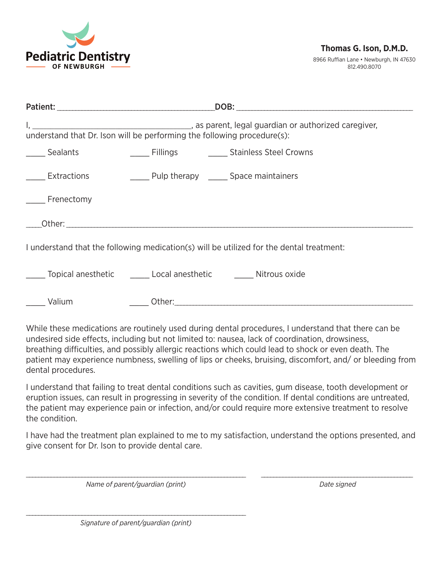

8966 Ruffian Lane • Newburgh, IN 47630 812.490.8070

| _____ Sealants    | _____ Fillings ___________ Stainless Steel Crowns                                                                                                                                                      |
|-------------------|--------------------------------------------------------------------------------------------------------------------------------------------------------------------------------------------------------|
| _____ Extractions | ______ Pulp therapy ______ Space maintainers                                                                                                                                                           |
| _____ Frenectomy  |                                                                                                                                                                                                        |
|                   |                                                                                                                                                                                                        |
|                   | I understand that the following medication(s) will be utilized for the dental treatment:                                                                                                               |
|                   | ______ Topical anesthetic __________ Local anesthetic _____________ Nitrous oxide                                                                                                                      |
| Valium            |                                                                                                                                                                                                        |
|                   | While these medications are routinely used during dental procedures, I understand that there can be<br>undesired side effects, including but not limited to: nausea, lack of coordination, drowsiness, |

breathing difficulties, and possibly allergic reactions which could lead to shock or even death. The patient may experience numbness, swelling of lips or cheeks, bruising, discomfort, and/ or bleeding from dental procedures.

I understand that failing to treat dental conditions such as cavities, gum disease, tooth development or eruption issues, can result in progressing in severity of the condition. If dental conditions are untreated, the patient may experience pain or infection, and/or could require more extensive treatment to resolve the condition.

I have had the treatment plan explained to me to my satisfaction, understand the options presented, and give consent for Dr. Ison to provide dental care.

\_\_\_\_\_\_\_\_\_\_\_\_\_\_\_\_\_\_\_\_\_\_\_\_\_\_\_\_\_\_\_\_\_\_\_\_\_\_\_\_\_\_\_\_\_\_\_\_\_\_\_\_\_\_\_\_\_\_\_\_\_\_\_\_\_\_\_\_\_\_\_ \_\_\_\_\_\_\_\_\_\_\_\_\_\_\_\_\_\_\_\_\_\_\_\_\_\_\_\_\_\_\_\_\_\_\_\_\_\_\_\_\_\_\_\_\_\_\_\_\_

*Name of parent/guardian (print) Date signed*